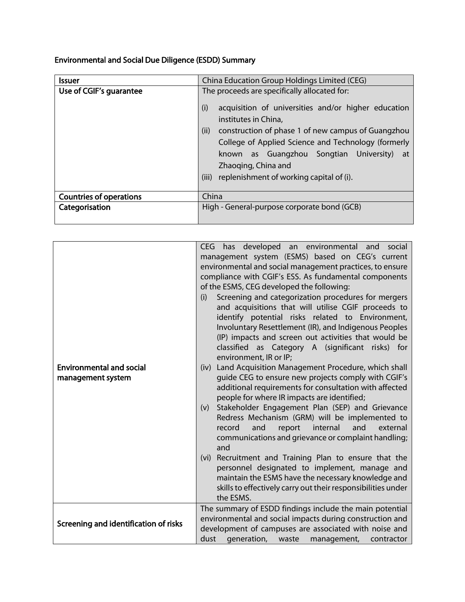Environmental and Social Due Diligence (ESDD) Summary

| <b>Issuer</b>                  | China Education Group Holdings Limited (CEG)                                                                                                                                                                                                                                                                                                                                         |
|--------------------------------|--------------------------------------------------------------------------------------------------------------------------------------------------------------------------------------------------------------------------------------------------------------------------------------------------------------------------------------------------------------------------------------|
| Use of CGIF's guarantee        | The proceeds are specifically allocated for:<br>(i)<br>acquisition of universities and/or higher education<br>institutes in China,<br>(ii)<br>construction of phase 1 of new campus of Guangzhou<br>College of Applied Science and Technology (formerly<br>known as Guangzhou Songtian University)<br>at<br>Zhaoging, China and<br>replenishment of working capital of (i).<br>(iii) |
| <b>Countries of operations</b> | China                                                                                                                                                                                                                                                                                                                                                                                |
| Categorisation                 | High - General-purpose corporate bond (GCB)                                                                                                                                                                                                                                                                                                                                          |

| <b>Environmental and social</b><br>management system | has developed an environmental and social<br><b>CEG</b><br>management system (ESMS) based on CEG's current<br>environmental and social management practices, to ensure<br>compliance with CGIF's ESS. As fundamental components<br>of the ESMS, CEG developed the following:<br>Screening and categorization procedures for mergers<br>(i)<br>and acquisitions that will utilise CGIF proceeds to<br>identify potential risks related to Environment,<br>Involuntary Resettlement (IR), and Indigenous Peoples<br>(IP) impacts and screen out activities that would be<br>classified as Category A (significant risks) for<br>environment, IR or IP;<br>(iv) Land Acquisition Management Procedure, which shall<br>guide CEG to ensure new projects comply with CGIF's<br>additional requirements for consultation with affected<br>people for where IR impacts are identified;<br>Stakeholder Engagement Plan (SEP) and Grievance<br>(v)<br>Redress Mechanism (GRM) will be implemented to<br>and<br>and<br>report<br>internal<br>external<br>record<br>communications and grievance or complaint handling;<br>and<br>Recruitment and Training Plan to ensure that the<br>(vi) |
|------------------------------------------------------|---------------------------------------------------------------------------------------------------------------------------------------------------------------------------------------------------------------------------------------------------------------------------------------------------------------------------------------------------------------------------------------------------------------------------------------------------------------------------------------------------------------------------------------------------------------------------------------------------------------------------------------------------------------------------------------------------------------------------------------------------------------------------------------------------------------------------------------------------------------------------------------------------------------------------------------------------------------------------------------------------------------------------------------------------------------------------------------------------------------------------------------------------------------------------------|
|                                                      | personnel designated to implement, manage and<br>maintain the ESMS have the necessary knowledge and<br>skills to effectively carry out their responsibilities under<br>the ESMS.                                                                                                                                                                                                                                                                                                                                                                                                                                                                                                                                                                                                                                                                                                                                                                                                                                                                                                                                                                                                |
| Screening and identification of risks                | The summary of ESDD findings include the main potential<br>environmental and social impacts during construction and<br>development of campuses are associated with noise and<br>dust<br>generation, waste<br>management,<br>contractor                                                                                                                                                                                                                                                                                                                                                                                                                                                                                                                                                                                                                                                                                                                                                                                                                                                                                                                                          |